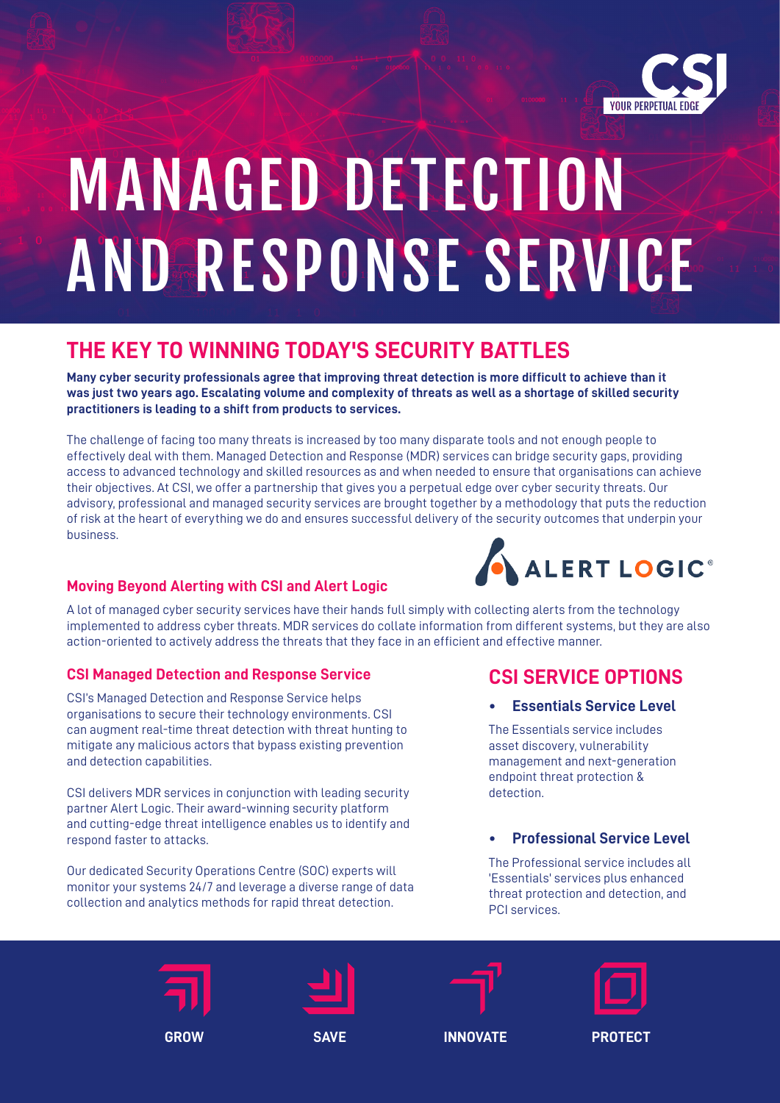

# MANAGED DETECTION AND RESPONSE SERVICE

# **THE KEY TO WINNING TODAY'S SECURITY BATTLES**

**Many cyber security professionals agree that improving threat detection is more difficult to achieve than it was just two years ago. Escalating volume and complexity of threats as well as a shortage of skilled security practitioners is leading to a shift from products to services.**

The challenge of facing too many threats is increased by too many disparate tools and not enough people to effectively deal with them. Managed Detection and Response (MDR) services can bridge security gaps, providing access to advanced technology and skilled resources as and when needed to ensure that organisations can achieve their objectives. At CSI, we offer a partnership that gives you a perpetual edge over cyber security threats. Our advisory, professional and managed security services are brought together by a methodology that puts the reduction of risk at the heart of everything we do and ensures successful delivery of the security outcomes that underpin your business.

## **Moving Beyond Alerting with CSI and Alert Logic**

A lot of managed cyber security services have their hands full simply with collecting alerts from the technology implemented to address cyber threats. MDR services do collate information from different systems, but they are also action-oriented to actively address the threats that they face in an efficient and effective manner.

### **CSI Managed Detection and Response Service**

CSI's Managed Detection and Response Service helps organisations to secure their technology environments. CSI can augment real-time threat detection with threat hunting to mitigate any malicious actors that bypass existing prevention and detection capabilities.

CSI delivers MDR services in conjunction with leading security partner Alert Logic. Their award-winning security platform and cutting-edge threat intelligence enables us to identify and respond faster to attacks.

Our dedicated Security Operations Centre (SOC) experts will monitor your systems 24/7 and leverage a diverse range of data collection and analytics methods for rapid threat detection.



# **CSI SERVICE OPTIONS**

#### **• Essentials Service Level**

The Essentials service includes asset discovery, vulnerability management and next-generation endpoint threat protection & detection.

### **• Professional Service Level**

The Professional service includes all 'Essentials' services plus enhanced threat protection and detection, and PCI services.







**GROW SAVE INNOVATE PROTECT**